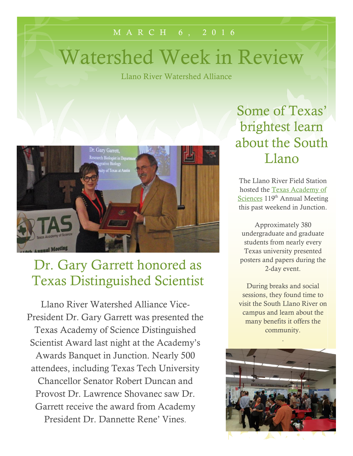#### M A R C H 6 , 2 0 1 6

# Watershed Week in Review

Llano River Watershed Alliance



#### Dr. Gary Garrett honored as Texas Distinguished Scientist

Llano River Watershed Alliance Vice-President Dr. Gary Garrett was presented the Texas Academy of Science Distinguished Scientist Award last night at the Academy's Awards Banquet in Junction. Nearly 500 attendees, including Texas Tech University Chancellor Senator Robert Duncan and Provost Dr. Lawrence Shovanec saw Dr. Garrett receive the award from Academy President Dr. Dannette Rene' Vines.

Some of Texas' brightest learn about the South Llano

The Llano River Field Station hosted the [Texas Academy of](http://www.texasacademyofscience.org/about-us)  [Sciences](http://www.texasacademyofscience.org/about-us) 119<sup>th</sup> Annual Meeting this past weekend in Junction.

Approximately 380 undergraduate and graduate students from nearly every Texas university presented posters and papers during the 2-day event.

During breaks and social sessions, they found time to visit the South Llano River on campus and learn about the many benefits it offers the community.

.

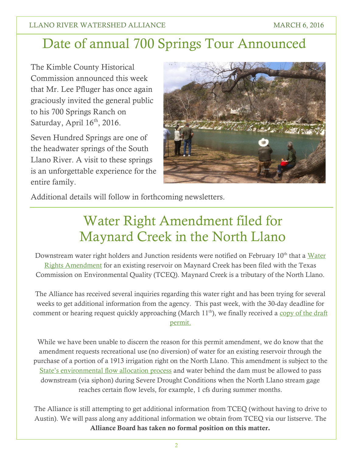### Date of annual 700 Springs Tour Announced

The Kimble County Historical Commission announced this week that Mr. Lee Pfluger has once again graciously invited the general public to his 700 Springs Ranch on Saturday, April 16<sup>th</sup>, 2016.

Seven Hundred Springs are one of the headwater springs of the South Llano River. A visit to these springs is an unforgettable experience for the entire family.



Additional details will follow in forthcoming newsletters.

## Water Right Amendment filed for Maynard Creek in the North Llano

Downstream water right holders and Junction residents were notified on February 10<sup>th</sup> that a Water [Rights Amendment](http://www14.tceq.texas.gov/epic/eNotice/index.cfm?fuseaction=main.PublicNoticeDescResults&requesttimeout=5000&CHK_ITEM_ID=175398192016032) for an existing reservoir on Maynard Creek has been filed with the Texas Commission on Environmental Quality (TCEQ). Maynard Creek is a tributary of the North Llano.

The Alliance has received several inquiries regarding this water right and has been trying for several weeks to get additional information from the agency. This past week, with the 30-day deadline for comment or hearing request quickly approaching (March  $11<sup>th</sup>$ ), we finally received a copy of the draft [permit.](http://southllano.org/blog/wp-content/files/DraftAmendment_RainsFamilyLimited_14-1492.pdf)

While we have been unable to discern the reason for this permit amendment, we do know that the amendment requests recreational use (no diversion) of water for an existing reservoir through the purchase of a portion of a 1913 irrigation right on the North Llano. This amendment is subject to the [State's environmental flow allocation process](http://texaslivingwaters.org/environmental-flows/sb3-environmental-flows-process/) and water behind the dam must be allowed to pass downstream (via siphon) during Severe Drought Conditions when the North Llano stream gage reaches certain flow levels, for example, 1 cfs during summer months.

The Alliance is still attempting to get additional information from TCEQ (without having to drive to Austin). We will pass along any additional information we obtain from TCEQ via our listserve. The **Alliance Board has taken no formal position on this matter.**